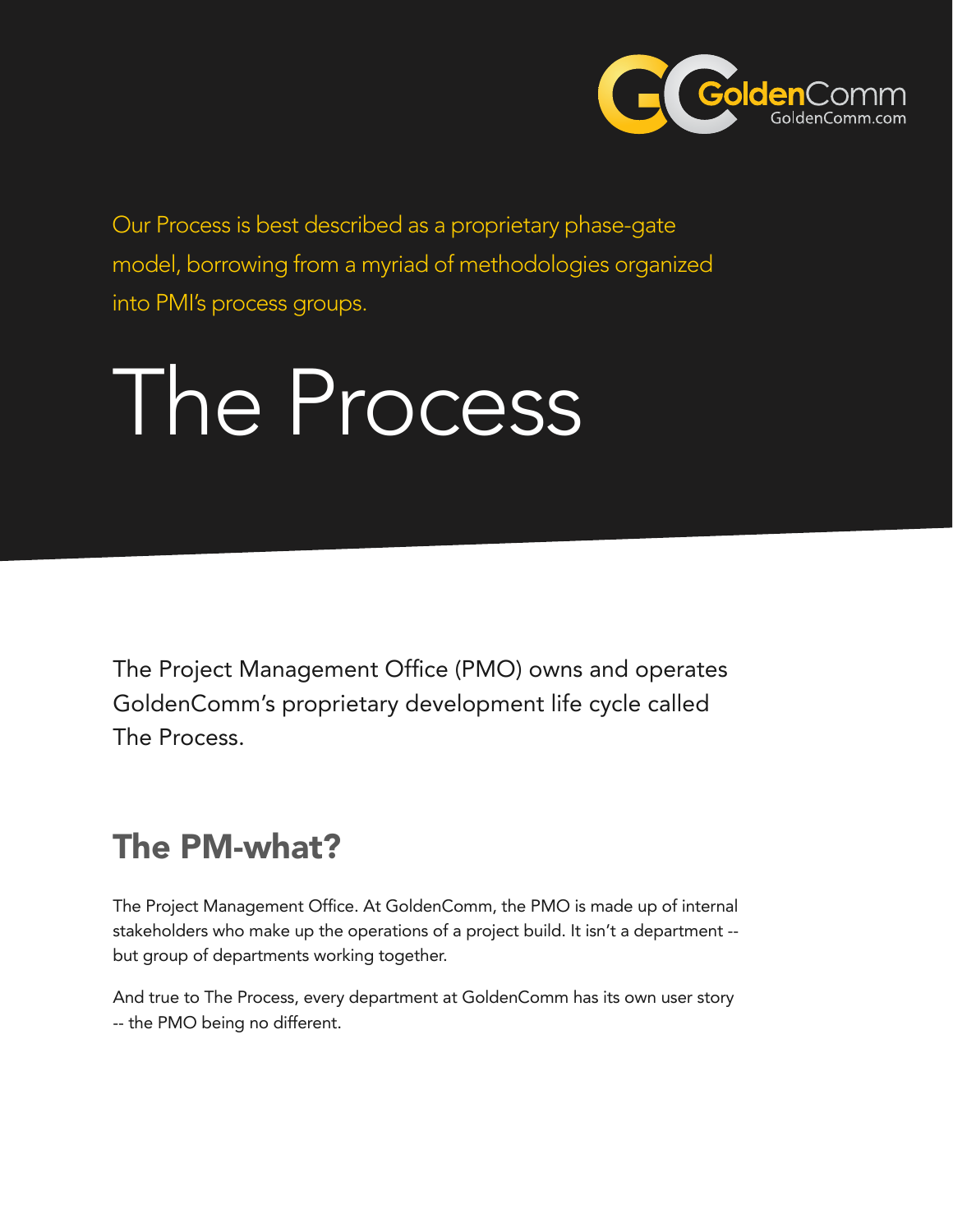

Our Process is best described as a proprietary phase-gate model, borrowing from a myriad of methodologies organized into PMI's process groups.

# The Process

The Project Management Office (PMO) owns and operates GoldenComm's proprietary development life cycle called The Process.

# The PM-what?

The Project Management Office. At GoldenComm, the PMO is made up of internal stakeholders who make up the operations of a project build. It isn't a department - but group of departments working together.

And true to The Process, every department at GoldenComm has its own user story -- the PMO being no different.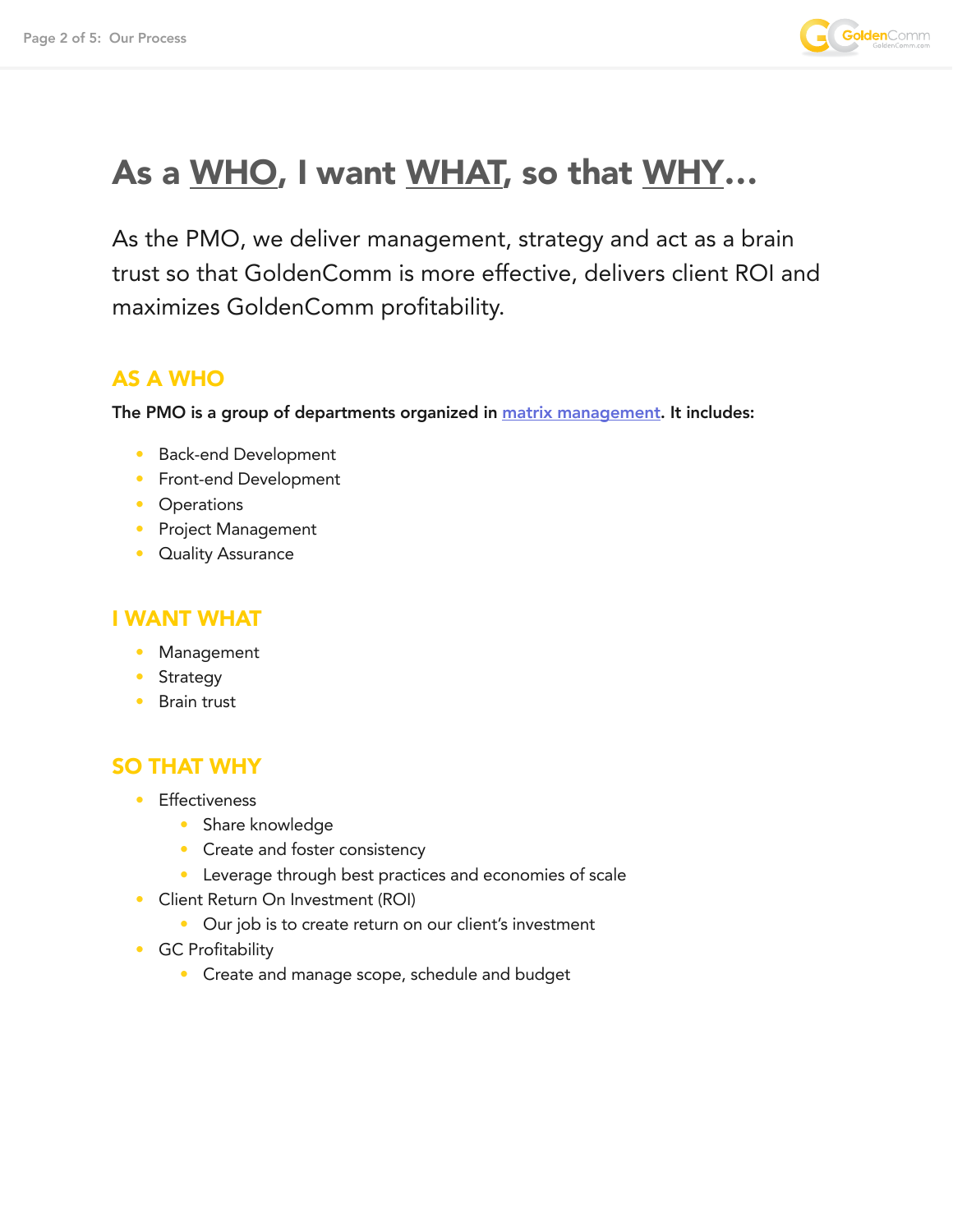

# As a WHO, I want WHAT, so that WHY...

As the PMO, we deliver management, strategy and act as a brain trust so that GoldenComm is more effective, delivers client ROI and maximizes GoldenComm profitability.

#### AS A WHO

The PMO is a group of departments organized in **[matrix management](https://en.wikipedia.org/wiki/Matrix_management)**. It includes:

- Back-end Development
- Front-end Development
- Operations
- Project Management
- Quality Assurance

#### I WANT WHAT

- Management
- Strategy
- Brain trust

#### SO THAT WHY

- Effectiveness
	- Share knowledge
	- Create and foster consistency
	- Leverage through best practices and economies of scale
- Client Return On Investment (ROI)
	- Our job is to create return on our client's investment
- GC Profitability
	- Create and manage scope, schedule and budget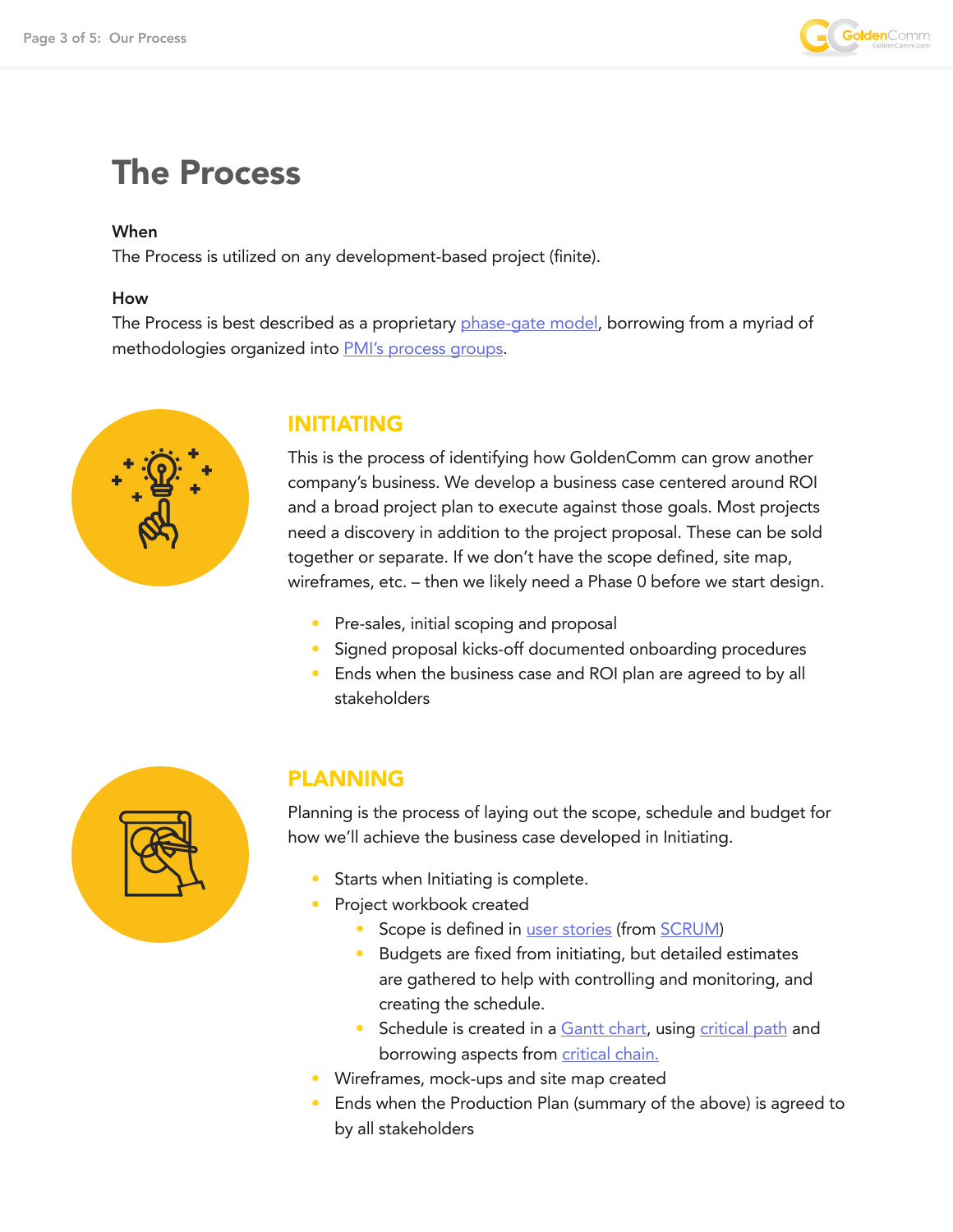

### The Process

#### When

The Process is utilized on any development-based project (finite).

#### How

The Process is best described as a proprietary [phase-gate model](https://en.wikipedia.org/wiki/Phase%E2%80%93gate_model), borrowing from a myriad of methodologies organized into [PMI's process groups](https://en.wikipedia.org/wiki/Project_Management_Body_of_Knowledge#Process_groups).



#### INITIATING

This is the process of identifying how GoldenComm can grow another company's business. We develop a business case centered around ROI and a broad project plan to execute against those goals. Most projects need a discovery in addition to the project proposal. These can be sold together or separate. If we don't have the scope defined, site map, wireframes, etc. – then we likely need a Phase 0 before we start design.

- Pre-sales, initial scoping and proposal
- Signed proposal kicks-off documented onboarding procedures
- Ends when the business case and ROI plan are agreed to by all stakeholders



#### PLANNING

Planning is the process of laying out the scope, schedule and budget for how we'll achieve the business case developed in Initiating.

- Starts when Initiating is complete.
- Project workbook created
	- Scope is defined in [user stories](https://en.wikipedia.org/wiki/User_story) (from [SCRUM](https://en.wikipedia.org/wiki/Scrum_(software_development)))
	- Budgets are fixed from initiating, but detailed estimates are gathered to help with controlling and monitoring, and creating the schedule.
	- Schedule is created in a [Gantt chart](https://en.wikipedia.org/wiki/Gantt_chart), using [critical path](https://en.wikipedia.org/wiki/Critical_path_method) and borrowing aspects from [critical chain.](https://en.wikipedia.org/wiki/Critical_chain_project_management)
- Wireframes, mock-ups and site map created
- Ends when the Production Plan (summary of the above) is agreed to by all stakeholders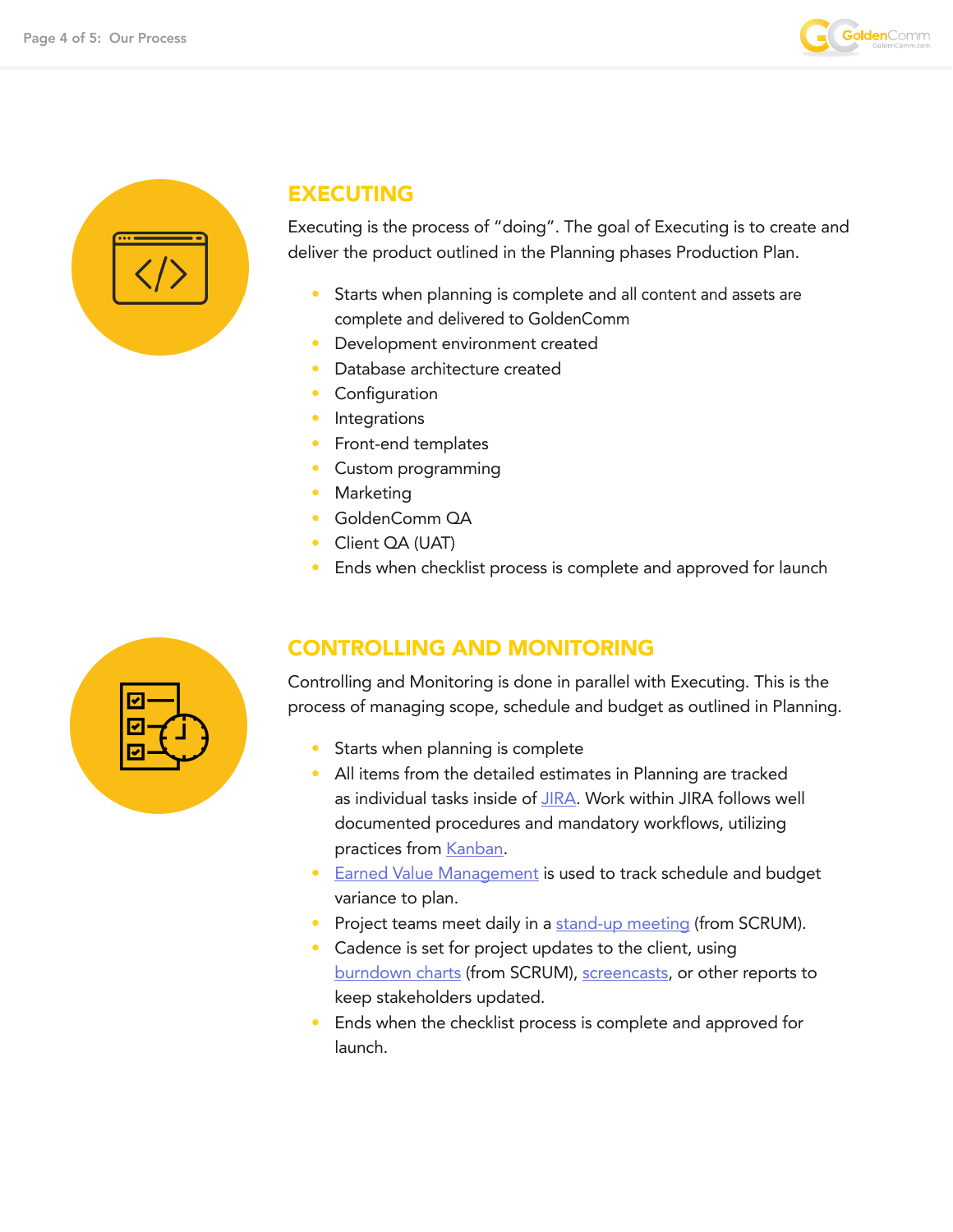



#### EXECUTING

Executing is the process of "doing". The goal of Executing is to create and deliver the product outlined in the Planning phases Production Plan.

- Starts when planning is complete and all content and assets are complete and delivered to GoldenComm
- Development environment created
- Database architecture created
- **Configuration**
- **Integrations**
- Front-end templates
- Custom programming
- **Marketing**
- GoldenComm QA
- Client QA (UAT)
- Ends when checklist process is complete and approved for launch



#### CONTROLLING AND MONITORING

Controlling and Monitoring is done in parallel with Executing. This is the process of managing scope, schedule and budget as outlined in Planning.

- Starts when planning is complete
- All items from the detailed estimates in Planning are tracked as individual tasks inside of [JIRA](https://www.atlassian.com/software/jira). Work within JIRA follows well documented procedures and mandatory workflows, utilizing practices from [Kanban](https://en.wikipedia.org/wiki/Kanban).
- **[Earned Value Management](https://en.wikipedia.org/wiki/Earned_value_management) is used to track schedule and budget** variance to plan.
- Project teams meet daily in a [stand-up meeting](https://en.wikipedia.org/wiki/Stand-up_meeting) (from SCRUM).
- Cadence is set for project updates to the client, using [burndown charts](https://en.wikipedia.org/wiki/Burn_down_chart) (from SCRUM), [screencasts](https://en.wikipedia.org/wiki/Screencast), or other reports to keep stakeholders updated.
- Ends when the checklist process is complete and approved for launch.